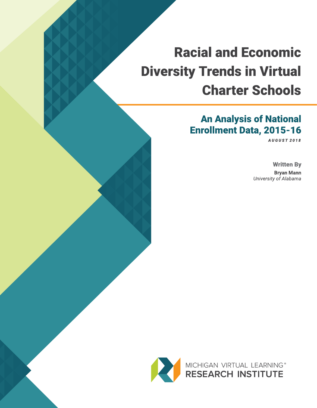# An Analysis of National Enrollment Data, 2015-16

**AUGUST 2 0 1 8**

Written By Bryan Mann **University of Alabama**

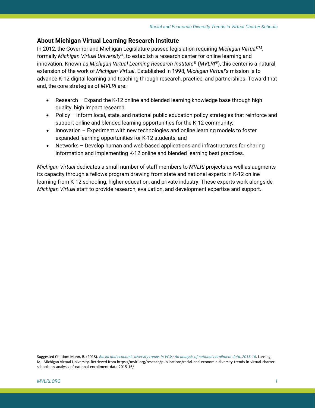# **About Michigan Virtual Learning Research Institute**

In 2012, the Governor and Michigan Legislature passed legislation requiring *Michigan VirtualTM,*  formally *Michigan Virtual University*®, to establish a research center for online learning and innovation. Known as *Michigan Virtual Learning Research Institute*® (*MVLRI*®), this center is a natural extension of the work of *Michigan Virtual*. Established in 1998, *Michigan Virtual's* mission is to advance K-12 digital learning and teaching through research, practice, and partnerships. Toward that end, the core strategies of *MVLRI* are:

- Research Expand the K-12 online and blended learning knowledge base through high quality, high impact research;
- Policy Inform local, state, and national public education policy strategies that reinforce and support online and blended learning opportunities for the K-12 community;
- Innovation Experiment with new technologies and online learning models to foster expanded learning opportunities for K-12 students; and
- Networks Develop human and web-based applications and infrastructures for sharing information and implementing K-12 online and blended learning best practices.

*Michigan Virtual* dedicates a small number of staff members to *MVLRI* projects as well as augments its capacity through a fellows program drawing from state and national experts in K-12 online learning from K-12 schooling, higher education, and private industry. These experts work alongside *Michigan Virtual* staff to provide research, evaluation, and development expertise and support.

Suggested Citation: Mann, B. (2018). *[Racial and economic diversity trends in VCSs: An analysis of national enrollment data, 2015-16](https://mvlri.org/reseach/publications/racial-and-economic-diversity-trends-in-virtual-charter-schools-an-analysis-of-national-enrollment-data-2015-16/)*. Lansing, MI: Michigan Virtual University. Retrieved from https://mvlri.org/reseach/publications/racial-and-economic-diversity-trends-in-virtual-charterschools-an-analysis-of-national-enrollment-data-2015-16/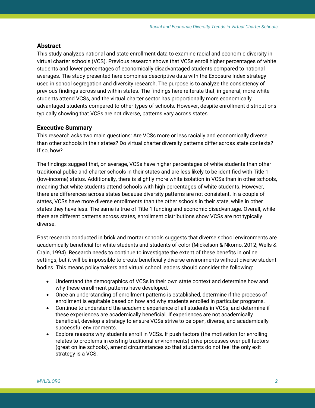# **Abstract**

This study analyzes national and state enrollment data to examine racial and economic diversity in virtual charter schools (VCS). Previous research shows that VCSs enroll higher percentages of white students and lower percentages of economically disadvantaged students compared to national averages. The study presented here combines descriptive data with the Exposure Index strategy used in school segregation and diversity research. The purpose is to analyze the consistency of previous findings across and within states. The findings here reiterate that, in general, more white students attend VCSs, and the virtual charter sector has proportionally more economically advantaged students compared to other types of schools. However, despite enrollment distributions typically showing that VCSs are not diverse, patterns vary across states.

# **Executive Summary**

This research asks two main questions: Are VCSs more or less racially and economically diverse than other schools in their states? Do virtual charter diversity patterns differ across state contexts? If so, how?

The findings suggest that, on average, VCSs have higher percentages of white students than other traditional public and charter schools in their states and are less likely to be identified with Title 1 (low-income) status. Additionally, there is slightly more white isolation in VCSs than in other schools, meaning that white students attend schools with high percentages of white students. However, there are differences across states because diversity patterns are not consistent. In a couple of states, VCSs have more diverse enrollments than the other schools in their state, while in other states they have less. The same is true of Title 1 funding and economic disadvantage. Overall, while there are different patterns across states, enrollment distributions show VCSs are not typically diverse.

Past research conducted in brick and mortar schools suggests that diverse school environments are academically beneficial for white students and students of color (Mickelson & Nkomo, 2012; Wells & Crain, 1994). Research needs to continue to investigate the extent of these benefits in online settings, but it will be impossible to create beneficially diverse environments without diverse student bodies. This means policymakers and virtual school leaders should consider the following:

- Understand the demographics of VCSs in their own state context and determine how and why these enrollment patterns have developed.
- Once an understanding of enrollment patterns is established, determine if the process of enrollment is equitable based on how and why students enrolled in particular programs.
- Continue to understand the academic experience of all students in VCSs, and determine if these experiences are academically beneficial. If experiences are not academically beneficial, develop a strategy to ensure VCSs strive to be open, diverse, and academically successful environments.
- Explore reasons why students enroll in VCSs. If push factors (the motivation for enrolling relates to problems in existing traditional environments) drive processes over pull factors (great online schools), amend circumstances so that students do not feel the only exit strategy is a VCS.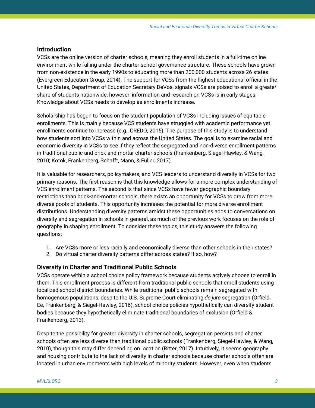## **Introduction**

VCSs are the online version of charter schools, meaning they enroll students in a full-time online environment while falling under the charter school governance structure. These schools have grown from non-existence in the early 1990s to educating more than 200,000 students across 26 states (Evergreen Education Group, 2014). The support for VCSs from the highest educational official in the United States, Department of Education Secretary DeVos, signals VCSs are poised to enroll a greater share of students nationwide; however, information and research on VCSs is in early stages. Knowledge about VCSs needs to develop as enrollments increase.

Scholarship has begun to focus on the student population of VCSs including issues of equitable enrollments. This is mainly because VCS students have struggled with academic performance yet enrollments continue to increase (e.g., CREDO, 2015). The purpose of this study is to understand how students sort into VCSs within and across the United States. The goal is to examine racial and economic diversity in VCSs to see if they reflect the segregated and non-diverse enrollment patterns in traditional public and brick and mortar charter schools (Frankenberg, Siegel-Hawley, & Wang, 2010; Kotok, Frankenberg, Schafft, Mann, & Fuller, 2017).

It is valuable for researchers, policymakers, and VCS leaders to understand diversity in VCSs for two primary reasons. The first reason is that this knowledge allows for a more complex understanding of VCS enrollment patterns. The second is that since VCSs have fewer geographic boundary restrictions than brick-and-mortar schools, there exists an opportunity for VCSs to draw from more diverse pools of students. This opportunity increases the potential for more diverse enrollment distributions. Understanding diversity patterns amidst these opportunities adds to conversations on diversity and segregation in schools in general, as much of the previous work focuses on the role of geography in shaping enrollment. To consider these topics, this study answers the following questions:

- 1. Are VCSs more or less racially and economically diverse than other schools in their states?
- 2. Do virtual charter diversity patterns differ across states? If so, how?

# **Diversity in Charter and Traditional Public Schools**

VCSs operate within a school choice policy framework because students actively choose to enroll in them. This enrollment process is different from traditional public schools that enroll students using localized school district boundaries. While traditional public schools remain segregated with homogenous populations, despite the U.S. Supreme Court eliminating *de jure* segregation (Orfield, Ee, Frankenberg, & Siegel-Hawley, 2016), school choice policies hypothetically can diversify student bodies because they hypothetically eliminate traditional boundaries of exclusion (Orfield & Frankenberg, 2013).

Despite the possibility for greater diversity in charter schools, segregation persists and charter schools often are less diverse than traditional public schools (Frankenberg, Siegel-Hawley, & Wang, 2010), though this may differ depending on location (Ritter, 2017). Intuitively, it seems geography and housing contribute to the lack of diversity in charter schools because charter schools often are located in urban environments with high levels of minority students. However, even when students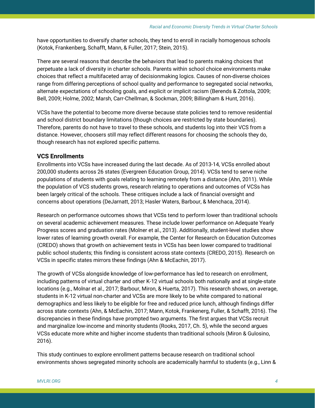have opportunities to diversify charter schools, they tend to enroll in racially homogenous schools (Kotok, Frankenberg, Schafft, Mann, & Fuller, 2017; Stein, 2015).

There are several reasons that describe the behaviors that lead to parents making choices that perpetuate a lack of diversity in charter schools. Parents within school choice environments make choices that reflect a multifaceted array of decisionmaking logics. Causes of non-diverse choices range from differing perceptions of school quality and performance to segregated social networks, alternate expectations of schooling goals, and explicit or implicit racism (Berends & Zottola, 2009; Bell, 2009; Holme, 2002; Marsh, Carr-Chellman, & Sockman, 2009; Billingham & Hunt, 2016).

VCSs have the potential to become more diverse because state policies tend to remove residential and school district boundary limitations (though choices are restricted by state boundaries). Therefore, parents do not have to travel to these schools, and students log into their VCS from a distance. However, choosers still may reflect different reasons for choosing the schools they do, though research has not explored specific patterns.

# **VCS Enrollments**

Enrollments into VCSs have increased during the last decade. As of 2013-14, VCSs enrolled about 200,000 students across 26 states (Evergreen Education Group, 2014). VCSs tend to serve niche populations of students with goals relating to learning remotely from a distance (Ahn, 2011). While the population of VCS students grows, research relating to operations and outcomes of VCSs has been largely critical of the schools. These critiques include a lack of financial oversight and concerns about operations (DeJarnatt, 2013; Hasler Waters, Barbour, & Menchaca, 2014).

Research on performance outcomes shows that VCSs tend to perform lower than traditional schools on several academic achievement measures. These include lower performance on Adequate Yearly Progress scores and graduation rates (Molner et al., 2013). Additionally, student-level studies show lower rates of learning growth overall. For example, the Center for Research on Education Outcomes (CREDO) shows that growth on achievement tests in VCSs has been lower compared to traditional public school students; this finding is consistent across state contexts (CREDO, 2015). Research on VCSs in specific states mirrors these findings (Ahn & McEachin, 2017).

The growth of VCSs alongside knowledge of low-performance has led to research on enrollment, including patterns of virtual charter and other K-12 virtual schools both nationally and at single-state locations (e.g., Molnar et al., 2017; Barbour, Miron, & Huerta, 2017). This research shows, on average, students in K-12 virtual non-charter and VCSs are more likely to be white compared to national demographics and less likely to be eligible for free and reduced price lunch, although findings differ across state contexts (Ahn, & McEachin, 2017; Mann, Kotok, Frankenerg, Fuller, & Schafft, 2016). The discrepancies in these findings have prompted two arguments. The first argues that VCSs recruit and marginalize low-income and minority students (Rooks, 2017, Ch. 5), while the second argues VCSs educate more white and higher income students than traditional schools (Miron & Gulosino, 2016).

This study continues to explore enrollment patterns because research on traditional school environments shows segregated minority schools are academically harmful to students (e.g., Linn &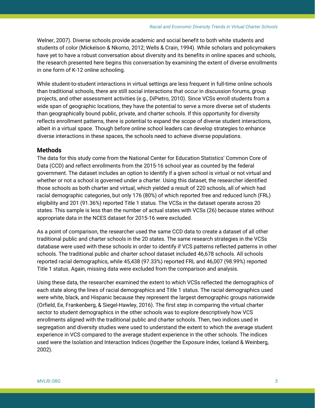Welner, 2007). Diverse schools provide academic and social benefit to both white students and students of color (Mickelson & Nkomo, 2012; Wells & Crain, 1994). While scholars and policymakers have yet to have a robust conversation about diversity and its benefits in online spaces and schools, the research presented here begins this conversation by examining the extent of diverse enrollments in one form of K-12 online schooling.

While student-to-student interactions in virtual settings are less frequent in full-time online schools than traditional schools, there are still social interactions that occur in discussion forums, group projects, and other assessment activities (e.g., DiPietro, 2010). Since VCSs enroll students from a wide span of geographic locations, they have the potential to serve a more diverse set of students than geographically bound public, private, and charter schools. If this opportunity for diversity reflects enrollment patterns, there is potential to expand the scope of diverse student interactions, albeit in a virtual space. Though before online school leaders can develop strategies to enhance diverse interactions in these spaces, the schools need to achieve diverse populations.

# **Methods**

The data for this study come from the National Center for Education Statistics' Common Core of Data (CCD) and reflect enrollments from the 2015-16 school year as counted by the federal government. The dataset includes an option to identify if a given school is virtual or not virtual and whether or not a school is governed under a charter. Using this dataset, the researcher identified those schools as both charter and virtual, which yielded a result of 220 schools, all of which had racial demographic categories, but only 176 (80%) of which reported free and reduced lunch (FRL) eligibility and 201 (91.36%) reported Title 1 status. The VCSs in the dataset operate across 20 states. This sample is less than the number of actual states with VCSs (26) because states without appropriate data in the NCES dataset for 2015-16 were excluded.

As a point of comparison, the researcher used the same CCD data to create a dataset of all other traditional public and charter schools in the 20 states. The same research strategies in the VCSs database were used with these schools in order to identify if VCS patterns reflected patterns in other schools. The traditional public and charter school dataset included 46,678 schools. All schools reported racial demographics, while 45,438 (97.33%) reported FRL and 46,007 (98.99%) reported Title 1 status. Again, missing data were excluded from the comparison and analysis.

Using these data, the researcher examined the extent to which VCSs reflected the demographics of each state along the lines of racial demographics and Title 1 status. The racial demographics used were white, black, and Hispanic because they represent the largest demographic groups nationwide (Orfield, Ee, Frankenberg, & Siegel-Hawley, 2016). The first step in comparing the virtual charter sector to student demographics in the other schools was to explore descriptively how VCS enrollments aligned with the traditional public and charter schools. Then, two indices used in segregation and diversity studies were used to understand the extent to which the average student experience in VCS compared to the average student experience in the other schools. The indices used were the Isolation and Interaction Indices (together the Exposure Index, Iceland & Weinberg, 2002).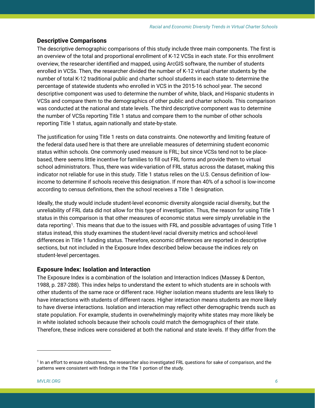# **Descriptive Comparisons**

The descriptive demographic comparisons of this study include three main components. The first is an overview of the total and proportional enrollment of K-12 VCSs in each state. For this enrollment overview, the researcher identified and mapped, using ArcGIS software, the number of students enrolled in VCSs. Then, the researcher divided the number of K-12 virtual charter students by the number of total K-12 traditional public and charter school students in each state to determine the percentage of statewide students who enrolled in VCS in the 2015-16 school year. The second descriptive component was used to determine the number of white, black, and Hispanic students in VCSs and compare them to the demographics of other public and charter schools. This comparison was conducted at the national and state levels. The third descriptive component was to determine the number of VCSs reporting Title 1 status and compare them to the number of other schools reporting Title 1 status, again nationally and state-by-state.

The justification for using Title 1 rests on data constraints. One noteworthy and limiting feature of the federal data used here is that there are unreliable measures of determining student economic status within schools. One commonly used measure is FRL; but since VCSs tend not to be placebased, there seems little incentive for families to fill out FRL forms and provide them to virtual school administrators. Thus, there was wide-variation of FRL status across the dataset, making this indicator not reliable for use in this study. Title 1 status relies on the U.S. Census definition of lowincome to determine if schools receive this designation. If more than 40% of a school is low-income according to census definitions, then the school receives a Title 1 designation.

Ideally, the study would include student-level economic diversity alongside racial diversity, but the unreliability of FRL data did not allow for this type of investigation. Thus, the reason for using Title 1 status in this comparison is that other measures of economic status were simply unreliable in the data reporting<sup>[1](#page-6-0)</sup>. This means that due to the issues with FRL and possible advantages of using Title 1 status instead, this study examines the student-level racial diversity metrics and school-level differences in Title 1 funding status. Therefore, economic differences are reported in descriptive sections, but not included in the Exposure Index described below because the indices rely on student-level percentages.

# **Exposure Index: Isolation and Interaction**

The Exposure Index is a combination of the Isolation and Interaction Indices (Massey & Denton, 1988, p. 287-288). This index helps to understand the extent to which students are in schools with other students of the same race or different race. Higher isolation means students are less likely to have interactions with students of different races. Higher interaction means students are more likely to have diverse interactions. Isolation and interaction may reflect other demographic trends such as state population. For example, students in overwhelmingly majority white states may more likely be in white isolated schools because their schools could match the demographics of their state. Therefore, these indices were considered at both the national and state levels. If they differ from the

l

<span id="page-6-0"></span> $<sup>1</sup>$  In an effort to ensure robustness, the researcher also investigated FRL questions for sake of comparison, and the</sup> patterns were consistent with findings in the Title 1 portion of the study.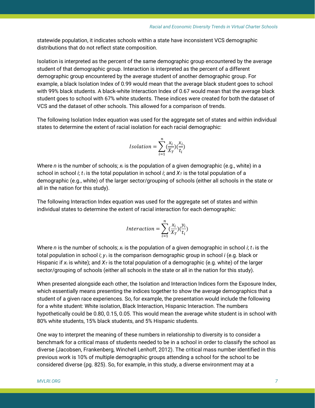statewide population, it indicates schools within a state have inconsistent VCS demographic distributions that do not reflect state composition.

Isolation is interpreted as the percent of the same demographic group encountered by the average student of that demographic group. Interaction is interpreted as the percent of a different demographic group encountered by the average student of another demographic group. For example, a black Isolation Index of 0.99 would mean that the average black student goes to school with 99% black students. A black-white Interaction Index of 0.67 would mean that the average black student goes to school with 67% white students. These indices were created for both the dataset of VCS and the dataset of other schools. This allowed for a comparison of trends.

The following Isolation Index equation was used for the aggregate set of states and within individual states to determine the extent of racial isolation for each racial demographic:

$$
Isolation = \sum_{i=1}^{n} (\frac{x_i}{X_T})(\frac{x_i}{t_i})
$$

Where *n* is the number of schools; *x*<sup>i</sup> is the population of a given demographic (e.g., white) in a school in school *i*;  $t_i$  is the total population in school *i*; and  $X_t$  is the total population of a demographic (e.g., white) of the larger sector/grouping of schools (either all schools in the state or all in the nation for this study).

The following Interaction Index equation was used for the aggregate set of states and within individual states to determine the extent of racial interaction for each demographic:

$$
Interaction = \sum_{i=1}^{n} (\frac{x_i}{X_T})(\frac{y_i}{t_i})
$$

Where *n* is the number of schools;  $x_i$  is the population of a given demographic in school *i*;  $t_i$  is the total population in school *i*; *y* <sup>i</sup> is the comparison demographic group in school *i* (e.g. black or Hispanic if  $x_i$  is white); and  $X_T$  is the total population of a demographic (e.g. white) of the larger sector/grouping of schools (either all schools in the state or all in the nation for this study).

When presented alongside each other, the Isolation and Interaction Indices form the Exposure Index, which essentially means presenting the indices together to show the average demographics that a student of a given race experiences. So, for example, the presentation would include the following for a white student: White isolation, Black Interaction, Hispanic Interaction. The numbers hypothetically could be 0.80, 0.15, 0.05. This would mean the average white student is in school with 80% white students, 15% black students, and 5% Hispanic students.

One way to interpret the meaning of these numbers in relationship to diversity is to consider a benchmark for a critical mass of students needed to be in a school in order to classify the school as diverse (Jacobsen, Frankenberg, Winchell Lenhoff, 2012). The critical mass number identified in this previous work is 10% of multiple demographic groups attending a school for the school to be considered diverse (pg. 825). So, for example, in this study, a diverse environment may at a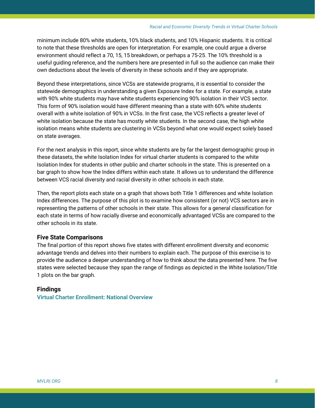minimum include 80% white students, 10% black students, and 10% Hispanic students. It is critical to note that these thresholds are open for interpretation. For example, one could argue a diverse environment should reflect a 70, 15, 15 breakdown, or perhaps a 75-25. The 10% threshold is a useful guiding reference, and the numbers here are presented in full so the audience can make their own deductions about the levels of diversity in these schools and if they are appropriate.

Beyond these interpretations, since VCSs are statewide programs, it is essential to consider the statewide demographics in understanding a given Exposure Index for a state. For example, a state with 90% white students may have white students experiencing 90% isolation in their VCS sector. This form of 90% isolation would have different meaning than a state with 60% white students overall with a white isolation of 90% in VCSs. In the first case, the VCS reflects a greater level of white isolation because the state has mostly white students. In the second case, the high white isolation means white students are clustering in VCSs beyond what one would expect solely based on state averages.

For the next analysis in this report, since white students are by far the largest demographic group in these datasets, the white Isolation Index for virtual charter students is compared to the white Isolation Index for students in other public and charter schools in the state. This is presented on a bar graph to show how the Index differs within each state. It allows us to understand the difference between VCS racial diversity and racial diversity in other schools in each state.

Then, the report plots each state on a graph that shows both Title 1 differences and white Isolation Index differences. The purpose of this plot is to examine how consistent (or not) VCS sectors are in representing the patterns of other schools in their state. This allows for a general classification for each state in terms of how racially diverse and economically advantaged VCSs are compared to the other schools in its state.

# **Five State Comparisons**

The final portion of this report shows five states with different enrollment diversity and economic advantage trends and delves into their numbers to explain each. The purpose of this exercise is to provide the audience a deeper understanding of how to think about the data presented here. The five states were selected because they span the range of findings as depicted in the White Isolation/Title 1 plots on the bar graph.

# **Findings**

**Virtual Charter Enrollment: National Overview**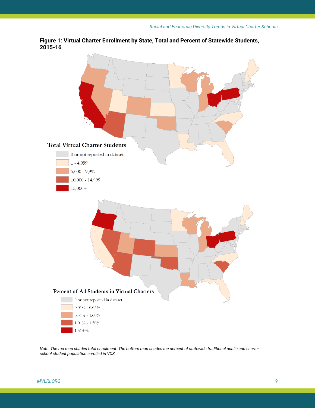**Figure 1: Virtual Charter Enrollment by State, Total and Percent of Statewide Students, 2015-16**



*Note: The top map shades total enrollment. The bottom map shades the percent of statewide traditional public and charter school student population enrolled in VCS.*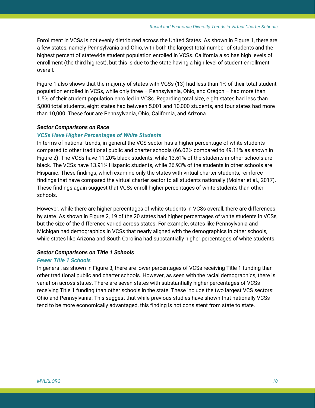Enrollment in VCSs is not evenly distributed across the United States. As shown in Figure 1, there are a few states, namely Pennsylvania and Ohio, with both the largest total number of students and the highest percent of statewide student population enrolled in VCSs. California also has high levels of enrollment (the third highest), but this is due to the state having a high level of student enrollment overall.

Figure 1 also shows that the majority of states with VCSs (13) had less than 1% of their total student population enrolled in VCSs, while only three – Pennsylvania, Ohio, and Oregon – had more than 1.5% of their student population enrolled in VCSs. Regarding total size, eight states had less than 5,000 total students, eight states had between 5,001 and 10,000 students, and four states had more than 10,000. These four are Pennsylvania, Ohio, California, and Arizona.

#### *Sector Comparisons on Race*

#### *VCSs Have Higher Percentages of White Students*

In terms of national trends, in general the VCS sector has a higher percentage of white students compared to other traditional public and charter schools (66.02% compared to 49.11% as shown in Figure 2). The VCSs have 11.20% black students, while 13.61% of the students in other schools are black. The VCSs have 13.91% Hispanic students, while 26.93% of the students in other schools are Hispanic. These findings, which examine only the states with virtual charter students, reinforce findings that have compared the virtual charter sector to all students nationally (Molnar et al., 2017). These findings again suggest that VCSs enroll higher percentages of white students than other schools.

However, while there are higher percentages of white students in VCSs overall, there are differences by state. As shown in Figure 2, 19 of the 20 states had higher percentages of white students in VCSs, but the size of the difference varied across states. For example, states like Pennsylvania and Michigan had demographics in VCSs that nearly aligned with the demographics in other schools, while states like Arizona and South Carolina had substantially higher percentages of white students.

#### *Sector Comparisons on Title 1 Schools*

## *Fewer Title 1 Schools*

In general, as shown in Figure 3, there are lower percentages of VCSs receiving Title 1 funding than other traditional public and charter schools. However, as seen with the racial demographics, there is variation across states. There are seven states with substantially higher percentages of VCSs receiving Title 1 funding than other schools in the state. These include the two largest VCS sectors: Ohio and Pennsylvania. This suggest that while previous studies have shown that nationally VCSs tend to be more economically advantaged, this finding is not consistent from state to state.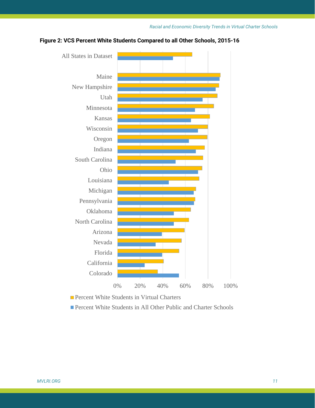

# **Figure 2: VCS Percent White Students Compared to all Other Schools, 2015-16**

**Percent White Students in Virtual Charters** 

■ Percent White Students in All Other Public and Charter Schools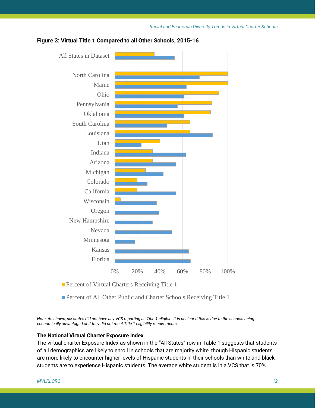

#### **Figure 3: Virtual Title 1 Compared to all Other Schools, 2015-16**

**Percent of Virtual Charters Receiving Title 1** 

■ Percent of All Other Public and Charter Schools Receiving Title 1

*Note: As shown, six states did not have any VCS reporting as Title 1 eligible. It is unclear if this is due to the schools being economically advantaged or if they did not meet Title 1 eligibility requirements.* 

# **The National Virtual Charter Exposure Index**

The virtual charter Exposure Index as shown in the "All States" row in Table 1 suggests that students of all demographics are likely to enroll in schools that are majority white, though Hispanic students are more likely to encounter higher levels of Hispanic students in their schools than white and black students are to experience Hispanic students. The average white student is in a VCS that is 70%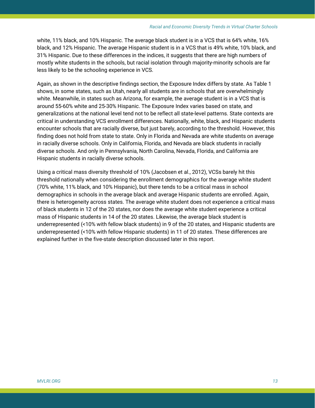white, 11% black, and 10% Hispanic. The average black student is in a VCS that is 64% white, 16% black, and 12% Hispanic. The average Hispanic student is in a VCS that is 49% white, 10% black, and 31% Hispanic. Due to these differences in the indices, it suggests that there are high numbers of mostly white students in the schools, but racial isolation through majority-minority schools are far less likely to be the schooling experience in VCS.

Again, as shown in the descriptive findings section, the Exposure Index differs by state. As Table 1 shows, in some states, such as Utah, nearly all students are in schools that are overwhelmingly white. Meanwhile, in states such as Arizona, for example, the average student is in a VCS that is around 55-60% white and 25-30% Hispanic. The Exposure Index varies based on state, and generalizations at the national level tend not to be reflect all state-level patterns. State contexts are critical in understanding VCS enrollment differences. Nationally, white, black, and Hispanic students encounter schools that are racially diverse, but just barely, according to the threshold. However, this finding does not hold from state to state. Only in Florida and Nevada are white students on average in racially diverse schools. Only in California, Florida, and Nevada are black students in racially diverse schools. And only in Pennsylvania, North Carolina, Nevada, Florida, and California are Hispanic students in racially diverse schools.

Using a critical mass diversity threshold of 10% (Jacobsen et al., 2012), VCSs barely hit this threshold nationally when considering the enrollment demographics for the average white student (70% white, 11% black, and 10% Hispanic), but there tends to be a critical mass in school demographics in schools in the average black and average Hispanic students are enrolled. Again, there is heterogeneity across states. The average white student does not experience a critical mass of black students in 12 of the 20 states, nor does the average white student experience a critical mass of Hispanic students in 14 of the 20 states. Likewise, the average black student is underrepresented (<10% with fellow black students) in 9 of the 20 states, and Hispanic students are underrepresented (<10% with fellow Hispanic students) in 11 of 20 states. These differences are explained further in the five-state description discussed later in this report.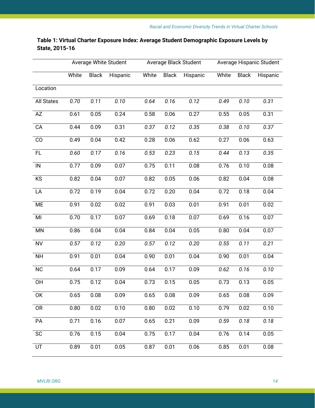|                   |       |              | Average White Student |       |              | Average Black Student | Average Hispanic Student |              |          |  |
|-------------------|-------|--------------|-----------------------|-------|--------------|-----------------------|--------------------------|--------------|----------|--|
|                   | White | <b>Black</b> | Hispanic              | White | <b>Black</b> | Hispanic              | White                    | <b>Black</b> | Hispanic |  |
| Location          |       |              |                       |       |              |                       |                          |              |          |  |
| <b>All States</b> | 0.70  | 0.11         | 0.10                  | 0.64  | 0.16         | 0.12                  | 0.49                     | 0.10         | 0.31     |  |
| AZ                | 0.61  | 0.05         | 0.24                  | 0.58  | 0.06         | 0.27                  | 0.55                     | 0.05         | 0.31     |  |
| CA                | 0.44  | 0.09         | 0.31                  | 0.37  | 0.12         | 0.35                  | 0.38                     | 0.10         | 0.37     |  |
| CO                | 0.49  | 0.04         | 0.42                  | 0.28  | 0.06         | 0.62                  | 0.27                     | 0.06         | 0.63     |  |
| <b>FL</b>         | 0.60  | 0.17         | 0.16                  | 0.53  | 0.23         | 0.15                  | 0.44                     | 0.13         | 0.35     |  |
| IN                | 0.77  | 0.09         | 0.07                  | 0.75  | 0.11         | 0.08                  | 0.76                     | 0.10         | 0.08     |  |
| Ks                | 0.82  | 0.04         | 0.07                  | 0.82  | 0.05         | 0.06                  | 0.82                     | 0.04         | 0.08     |  |
| LA                | 0.72  | 0.19         | 0.04                  | 0.72  | 0.20         | 0.04                  | 0.72                     | 0.18         | 0.04     |  |
| <b>ME</b>         | 0.91  | 0.02         | 0.02                  | 0.91  | 0.03         | 0.01                  | 0.91                     | 0.01         | 0.02     |  |
| MI                | 0.70  | 0.17         | 0.07                  | 0.69  | 0.18         | 0.07                  | 0.69                     | 0.16         | 0.07     |  |
| <b>MN</b>         | 0.86  | 0.04         | 0.04                  | 0.84  | 0.04         | 0.05                  | 0.80                     | 0.04         | 0.07     |  |
| <b>NV</b>         | 0.57  | 0.12         | 0.20                  | 0.57  | 0.12         | 0.20                  | 0.55                     | 0.11         | 0.21     |  |
| <b>NH</b>         | 0.91  | 0.01         | 0.04                  | 0.90  | 0.01         | 0.04                  | 0.90                     | 0.01         | 0.04     |  |
| <b>NC</b>         | 0.64  | 0.17         | 0.09                  | 0.64  | 0.17         | 0.09                  | 0.62                     | 0.16         | 0.10     |  |
| OH                | 0.75  | 0.12         | 0.04                  | 0.73  | 0.15         | 0.05                  | 0.73                     | 0.13         | 0.05     |  |
| 0K                | 0.65  | 0.08         | 0.09                  | 0.65  | 0.08         | 0.09                  | 0.65                     | 0.08         | 0.09     |  |
| <b>OR</b>         | 0.80  | 0.02         | 0.10                  | 0.80  | 0.02         | 0.10                  | 0.79                     | 0.02         | 0.10     |  |
| PA                | 0.71  | 0.16         | 0.07                  | 0.65  | 0.21         | 0.09                  | 0.59                     | 0.18         | 0.18     |  |
| <b>SC</b>         | 0.76  | 0.15         | 0.04                  | 0.75  | 0.17         | 0.04                  | 0.76                     | 0.14         | 0.05     |  |
| UT                | 0.89  | 0.01         | 0.05                  | 0.87  | 0.01         | 0.06                  | 0.85                     | 0.01         | 0.08     |  |

# **Table 1: Virtual Charter Exposure Index: Average Student Demographic Exposure Levels by State, 2015-16**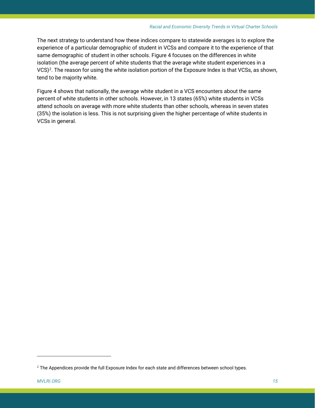The next strategy to understand how these indices compare to statewide averages is to explore the experience of a particular demographic of student in VCSs and compare it to the experience of that same demographic of student in other schools. Figure 4 focuses on the differences in white isolation (the average percent of white students that the average white student experiences in a VCS)<sup>2</sup>. The reason for using the white isolation portion of the Exposure Index is that VCSs, as shown, tend to be majority white.

Figure 4 shows that nationally, the average white student in a VCS encounters about the same percent of white students in other schools. However, in 13 states (65%) white students in VCSs attend schools on average with more white students than other schools, whereas in seven states (35%) the isolation is less. This is not surprising given the higher percentage of white students in VCSs in general.

l

<span id="page-15-0"></span> $2$  The Appendices provide the full Exposure Index for each state and differences between school types.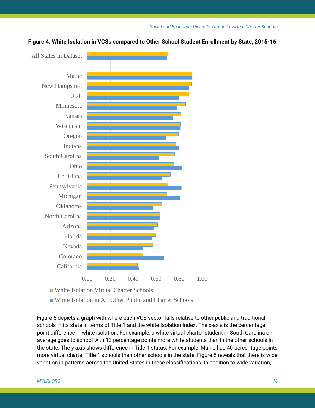

**Figure 4. White Isolation in VCSs compared to Other School Student Enrollment by State, 2015-16** 

White Isolation Virtual Charter Schools

■ White Isolation in All Other Public and Charter Schools

Figure 5 depicts a graph with where each VCS sector falls relative to other public and traditional schools in its state in terms of Title 1 and the white Isolation Index. The x-axis is the percentage point difference in white isolation. For example, a white virtual charter student in South Carolina on average goes to school with 13 percentage points more white students than in the other schools in the state. The y-axis shows difference in Title 1 status. For example, Maine has 40 percentage points more virtual charter Title 1 schools than other schools in the state. Figure 5 reveals that there is wide variation in patterns across the United States in these classifications. In addition to wide variation,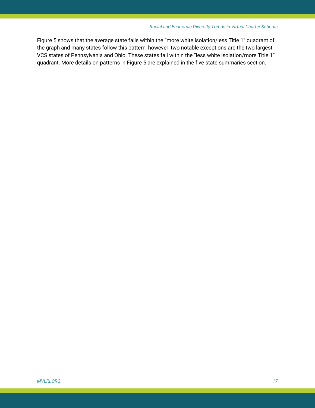Figure 5 shows that the average state falls within the "more white isolation/less Title 1" quadrant of the graph and many states follow this pattern; however, two notable exceptions are the two largest VCS states of Pennsylvania and Ohio. These states fall within the "less white isolation/more Title 1" quadrant. More details on patterns in Figure 5 are explained in the five state summaries section.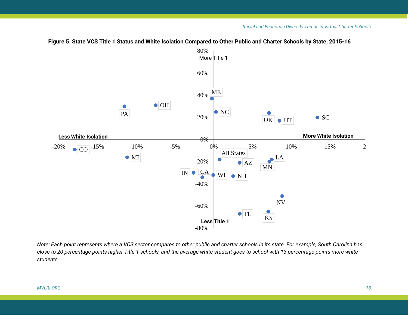

# **Figure 5. State VCS Title 1 Status and White Isolation Compared to Other Public and Charter Schools by State, 2015-16**

*Note: Each point represents where a VCS sector compares to other public and charter schools in its state. For example, South Carolina has close to 20 percentage points higher Title 1 schools, and the average white student goes to school with 13 percentage points more white students.*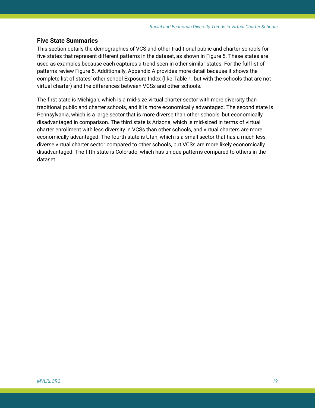#### **Five State Summaries**

This section details the demographics of VCS and other traditional public and charter schools for five states that represent different patterns in the dataset, as shown in Figure 5. These states are used as examples because each captures a trend seen in other similar states. For the full list of patterns review Figure 5. Additionally, Appendix A provides more detail because it shows the complete list of states' other school Exposure Index (like Table 1, but with the schools that are not virtual charter) and the differences between VCSs and other schools.

The first state is Michigan, which is a mid-size virtual charter sector with more diversity than traditional public and charter schools, and it is more economically advantaged. The second state is Pennsylvania, which is a large sector that is more diverse than other schools, but economically disadvantaged in comparison. The third state is Arizona, which is mid-sized in terms of virtual charter enrollment with less diversity in VCSs than other schools, and virtual charters are more economically advantaged. The fourth state is Utah, which is a small sector that has a much less diverse virtual charter sector compared to other schools, but VCSs are more likely economically disadvantaged. The fifth state is Colorado, which has unique patterns compared to others in the dataset.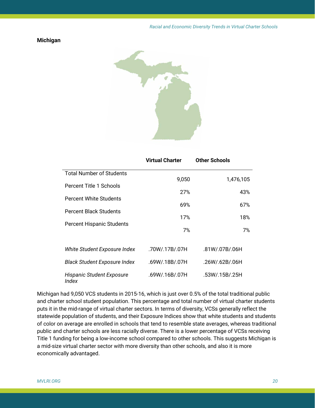# **Michigan**



|                                     | Virtual Charter | <b>Other Schools</b> |  |  |  |
|-------------------------------------|-----------------|----------------------|--|--|--|
| <b>Total Number of Students</b>     |                 |                      |  |  |  |
| Percent Title 1 Schools             | 9,050           | 1,476,105            |  |  |  |
| Percent White Students              | 27%             | 43%                  |  |  |  |
|                                     | 69%             | 67%                  |  |  |  |
| <b>Percent Black Students</b>       | 17%             | 18%                  |  |  |  |
| <b>Percent Hispanic Students</b>    | 7%              | 7%                   |  |  |  |
|                                     |                 |                      |  |  |  |
| White Student Exposure Index        | .70W/.17B/.07H  | .81W/.07B/.06H       |  |  |  |
| <b>Black Student Exposure Index</b> | .69W/.18B/.07H  | .26W/.62B/.06H       |  |  |  |
| Hispanic Student Exposure<br>Index  | .69W/.16B/.07H  | .53W/.15B/.25H       |  |  |  |

Michigan had 9,050 VCS students in 2015-16, which is just over 0.5% of the total traditional public and charter school student population. This percentage and total number of virtual charter students puts it in the mid-range of virtual charter sectors. In terms of diversity, VCSs generally reflect the statewide population of students, and their Exposure Indices show that white students and students of color on average are enrolled in schools that tend to resemble state averages, whereas traditional public and charter schools are less racially diverse. There is a lower percentage of VCSs receiving Title 1 funding for being a low-income school compared to other schools. This suggests Michigan is a mid-size virtual charter sector with more diversity than other schools, and also it is more economically advantaged.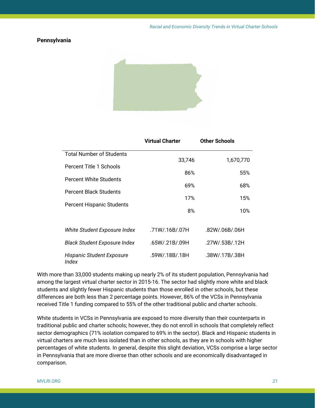#### **Pennsylvania**



|                                     | <b>Virtual Charter</b> | <b>Other Schools</b> |  |  |
|-------------------------------------|------------------------|----------------------|--|--|
| <b>Total Number of Students</b>     |                        |                      |  |  |
| Percent Title 1 Schools             | 33,746                 | 1,670,770            |  |  |
| <b>Percent White Students</b>       | 86%                    | 55%                  |  |  |
| <b>Percent Black Students</b>       | 69%                    | 68%                  |  |  |
|                                     | 17%                    | 15%                  |  |  |
| <b>Percent Hispanic Students</b>    | 8%                     | 10%                  |  |  |
|                                     |                        |                      |  |  |
| White Student Exposure Index        | .71W/.16B/.07H         | .82W/.06B/.06H       |  |  |
| <b>Black Student Exposure Index</b> | .65W/.21B/.09H         | .27W/.53B/.12H       |  |  |
| Hispanic Student Exposure<br>Index  | .59W/.18B/.18H         | .38W/.17B/.38H       |  |  |

With more than 33,000 students making up nearly 2% of its student population, Pennsylvania had among the largest virtual charter sector in 2015-16. The sector had slightly more white and black students and slightly fewer Hispanic students than those enrolled in other schools, but these differences are both less than 2 percentage points. However, 86% of the VCSs in Pennsylvania received Title 1 funding compared to 55% of the other traditional public and charter schools.

White students in VCSs in Pennsylvania are exposed to more diversity than their counterparts in traditional public and charter schools; however, they do not enroll in schools that completely reflect sector demographics (71% isolation compared to 69% in the sector). Black and Hispanic students in virtual charters are much less isolated than in other schools, as they are in schools with higher percentages of white students. In general, despite this slight deviation, VCSs comprise a large sector in Pennsylvania that are more diverse than other schools and are economically disadvantaged in comparison.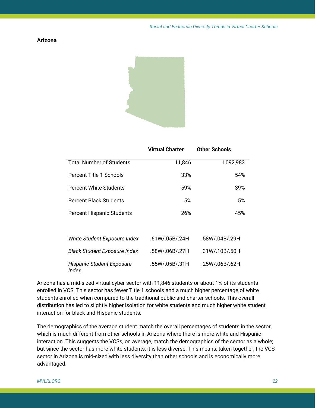# **Arizona**



|                                           | <b>Virtual Charter</b> | <b>Other Schools</b> |  |  |  |
|-------------------------------------------|------------------------|----------------------|--|--|--|
| <b>Total Number of Students</b>           | 11,846                 | 1,092,983            |  |  |  |
| Percent Title 1 Schools                   | 33%                    | 54%                  |  |  |  |
| Percent White Students                    | 59%                    | 39%                  |  |  |  |
| <b>Percent Black Students</b>             | 5%                     | 5%                   |  |  |  |
| <b>Percent Hispanic Students</b>          | 26%                    | 45%                  |  |  |  |
| White Student Exposure Index              | .61W/.05B/.24H         | .58W/.04B/.29H       |  |  |  |
| <b>Black Student Exposure Index</b>       | .58W/.06B/.27H         | .31W/.10B/.50H       |  |  |  |
| <b>Hispanic Student Exposure</b><br>Index | .55W/.05B/.31H         | .25W/.06B/.62H       |  |  |  |

Arizona has a mid-sized virtual cyber sector with 11,846 students or about 1% of its students enrolled in VCS. This sector has fewer Title 1 schools and a much higher percentage of white students enrolled when compared to the traditional public and charter schools. This overall distribution has led to slightly higher isolation for white students and much higher white student interaction for black and Hispanic students.

The demographics of the average student match the overall percentages of students in the sector, which is much different from other schools in Arizona where there is more white and Hispanic interaction. This suggests the VCSs, on average, match the demographics of the sector as a whole; but since the sector has more white students, it is less diverse. This means, taken together, the VCS sector in Arizona is mid-sized with less diversity than other schools and is economically more advantaged.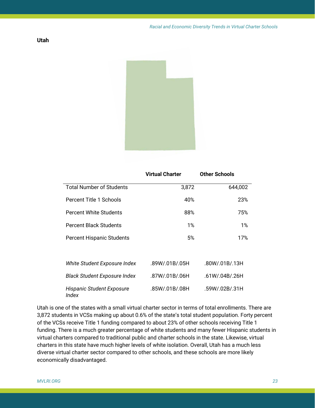

|                                                  | <b>Virtual Charter</b> | <b>Other Schools</b> |  |  |
|--------------------------------------------------|------------------------|----------------------|--|--|
| <b>Total Number of Students</b>                  | 3,872                  | 644,002              |  |  |
| Percent Title 1 Schools                          | 40%                    | 23%                  |  |  |
| <b>Percent White Students</b>                    | 88%                    | 75%                  |  |  |
| Percent Black Students                           | $1\%$                  | $1\%$                |  |  |
| <b>Percent Hispanic Students</b>                 | 5%                     | 17%                  |  |  |
|                                                  |                        |                      |  |  |
| White Student Exposure Index                     | .89W/.01B/.05H         | .80W/.01B/.13H       |  |  |
| <b>Black Student Exposure Index</b>              | .87W/.01B/.06H         | .61W/.04B/.26H       |  |  |
| <b>Hispanic Student Exposure</b><br><b>Index</b> | .85W/.01B/.08H         | .59W/.02B/.31H       |  |  |

Utah is one of the states with a small virtual charter sector in terms of total enrollments. There are 3,872 students in VCSs making up about 0.6% of the state's total student population. Forty percent of the VCSs receive Title 1 funding compared to about 23% of other schools receiving Title 1 funding. There is a much greater percentage of white students and many fewer Hispanic students in virtual charters compared to traditional public and charter schools in the state. Likewise, virtual charters in this state have much higher levels of white isolation. Overall, Utah has a much less diverse virtual charter sector compared to other schools, and these schools are more likely economically disadvantaged.

**Utah**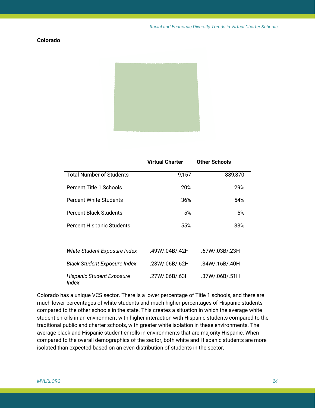# **Colorado**



|                                           | <b>Virtual Charter</b> | <b>Other Schools</b> |  |
|-------------------------------------------|------------------------|----------------------|--|
| <b>Total Number of Students</b>           | 9,157                  | 889,870              |  |
| Percent Title 1 Schools                   | 20%                    | 29%                  |  |
| <b>Percent White Students</b>             | 36%                    | 54%                  |  |
| <b>Percent Black Students</b>             | 5%                     | 5%                   |  |
| <b>Percent Hispanic Students</b>          | 55%                    | 33%                  |  |
|                                           |                        |                      |  |
| White Student Exposure Index              | .49W/.04B/.42H         | .67W/.03B/.23H       |  |
| <b>Black Student Exposure Index</b>       | .28W/.06B/.62H         | .34W/.16B/.40H       |  |
| <b>Hispanic Student Exposure</b><br>Index | .27W/.06B/.63H         | .37W/.06B/.51H       |  |

Colorado has a unique VCS sector. There is a lower percentage of Title 1 schools, and there are much lower percentages of white students and much higher percentages of Hispanic students compared to the other schools in the state. This creates a situation in which the average white student enrolls in an environment with higher interaction with Hispanic students compared to the traditional public and charter schools, with greater white isolation in these environments. The average black and Hispanic student enrolls in environments that are majority Hispanic. When compared to the overall demographics of the sector, both white and Hispanic students are more isolated than expected based on an even distribution of students in the sector.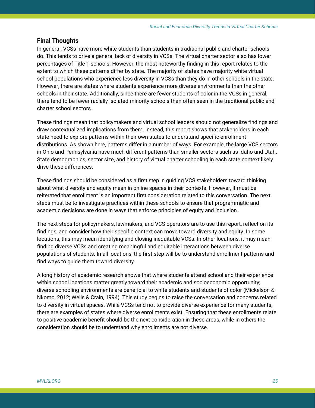## **Final Thoughts**

In general, VCSs have more white students than students in traditional public and charter schools do. This tends to drive a general lack of diversity in VCSs. The virtual charter sector also has lower percentages of Title 1 schools. However, the most noteworthy finding in this report relates to the extent to which these patterns differ by state. The majority of states have majority white virtual school populations who experience less diversity in VCSs than they do in other schools in the state. However, there are states where students experience more diverse environments than the other schools in their state. Additionally, since there are fewer students of color in the VCSs in general, there tend to be fewer racially isolated minority schools than often seen in the traditional public and charter school sectors.

These findings mean that policymakers and virtual school leaders should not generalize findings and draw contextualized implications from them. Instead, this report shows that stakeholders in each state need to explore patterns within their own states to understand specific enrollment distributions. As shown here, patterns differ in a number of ways. For example, the large VCS sectors in Ohio and Pennsylvania have much different patterns than smaller sectors such as Idaho and Utah. State demographics, sector size, and history of virtual charter schooling in each state context likely drive these differences.

These findings should be considered as a first step in guiding VCS stakeholders toward thinking about what diversity and equity mean in online spaces in their contexts. However, it must be reiterated that enrollment is an important first consideration related to this conversation. The next steps must be to investigate practices within these schools to ensure that programmatic and academic decisions are done in ways that enforce principles of equity and inclusion.

The next steps for policymakers, lawmakers, and VCS operators are to use this report, reflect on its findings, and consider how their specific context can move toward diversity and equity. In some locations, this may mean identifying and closing inequitable VCSs. In other locations, it may mean finding diverse VCSs and creating meaningful and equitable interactions between diverse populations of students. In all locations, the first step will be to understand enrollment patterns and find ways to guide them toward diversity.

A long history of academic research shows that where students attend school and their experience within school locations matter greatly toward their academic and socioeconomic opportunity; diverse schooling environments are beneficial to white students and students of color (Mickelson & Nkomo, 2012; Wells & Crain, 1994). This study begins to raise the conversation and concerns related to diversity in virtual spaces. While VCSs tend not to provide diverse experience for many students, there are examples of states where diverse enrollments exist. Ensuring that these enrollments relate to positive academic benefit should be the next consideration in these areas, while in others the consideration should be to understand why enrollments are not diverse.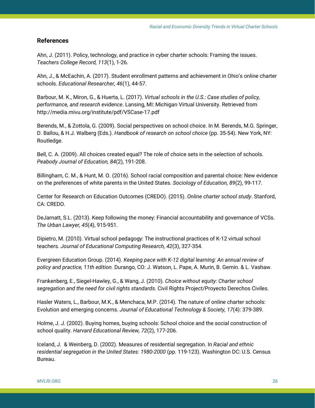# **References**

Ahn, J. (2011). Policy, technology, and practice in cyber charter schools: Framing the issues. *Teachers College Record, 113*(1), 1-26.

Ahn, J., & McEachin, A. (2017). Student enrollment patterns and achievement in Ohio's online charter schools. *Educational Researcher, 46*(1), 44-57.

Barbour, M. K., Miron, G., & Huerta, L. (2017). *Virtual schools in the U.S.: Case studies of policy, performance, and research evidence*. Lansing, MI: Michigan Virtual University. Retrieved from http://media.mivu.org/institute/pdf/VSCase-17.pdf

Berends, M., & Zottola, G. (2009). Social perspectives on school choice. In M. Berends, M.G. Springer, D. Ballou, & H.J. Walberg (Eds.). *Handbook of research on school choice* (pp. 35-54). New York, NY: Routledge.

Bell, C. A. (2009). All choices created equal? The role of choice sets in the selection of schools. *Peabody Journal of Education, 84*(2), 191-208.

Billingham, C. M., & Hunt, M. O. (2016). School racial composition and parental choice: New evidence on the preferences of white parents in the United States. *Sociology of Education, 89*(2), 99-117.

Center for Research on Education Outcomes (CREDO). (2015). *Online charter school study*. Stanford, CA: CREDO.

DeJarnatt, S.L. (2013). Keep following the money: Financial accountability and governance of VCSs. *The Urban Lawyer, 45*(4), 915-951.

Dipietro, M. (2010). Virtual school pedagogy: The instructional practices of K-12 virtual school teachers. *Journal of Educational Computing Research, 42*(3), 327-354.

Evergreen Education Group. (2014). *Keeping pace with K-12 digital learning: An annual review of policy and practice, 11th edition.* Durango, CO: J. Watson, L. Pape, A. Murin, B. Gemin. & L. Vashaw.

Frankenberg, E., Siegel-Hawley, G., & Wang, J. (2010). *Choice without equity: Charter school segregation and the need for civil rights standards.* Civil Rights Project/Proyecto Derechos Civiles.

Hasler Waters, L., Barbour, M.K., & Menchaca, M.P. (2014). The nature of online charter schools: Evolution and emerging concerns. *Journal of Educational Technology & Society, 17*(4): 379-389.

Holme, J. J. (2002). Buying homes, buying schools: School choice and the social construction of school quality. *Harvard Educational Review, 72*(2), 177-206.

Iceland, J. & Weinberg, D. (2002). Measures of residential segregation. In *Racial and ethnic residential segregation in the United States: 1980-2000* (pp. 119-123). Washington DC: U.S. Census Bureau.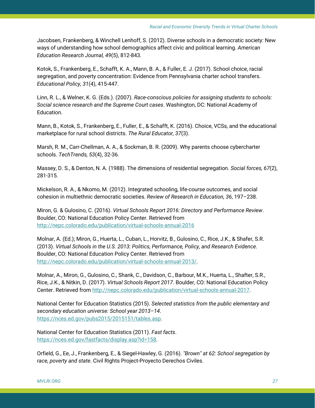Jacobsen, Frankenberg, & Winchell Lenhoff, S. (2012). Diverse schools in a democratic society: New ways of understanding how school demographics affect civic and political learning. *American Education Research Journal, 49*(5), 812-843.

Kotok, S., Frankenberg, E., Schafft, K. A., Mann, B. A., & Fuller, E. J. (2017). School choice, racial segregation, and poverty concentration: Evidence from Pennsylvania charter school transfers. *Educational Policy, 31*(4), 415-447.

Linn, R. L., & Welner, K. G. (Eds.). (2007). *Race-conscious policies for assigning students to schools: Social science research and the Supreme Court cases*. Washington, DC: National Academy of Education.

Mann, B., Kotok, S., Frankenberg, E., Fuller, E., & Schafft, K. (2016). Choice, VCSs, and the educational marketplace for rural school districts. *The Rural Educator, 37*(3).

Marsh, R. M., Carr-Chellman, A. A., & Sockman, B. R. (2009). Why parents choose cybercharter schools. *TechTrends, 53*(4), 32-36.

Massey, D. S., & Denton, N. A. (1988). The dimensions of residential segregation. *Social forces, 67*(2), 281-315.

Mickelson, R. A., & Nkomo, M. (2012). Integrated schooling, life-course outcomes, and social cohesion in multiethnic democratic societies. *Review of Research in Education, 36*, 197–238.

Miron, G. & Gulosino, C. (2016). *Virtual Schools Report 2016: Directory and Performance Review*. Boulder, CO: National Education Policy Center. Retrieved from <http://nepc.colorado.edu/publication/virtual-schools-annual-2016>

Molnar, A. (Ed.); Miron, G., Huerta, L., Cuban, L., Horvitz, B., Gulosino, C., Rice, J.K., & Shafer, S.R. (2013). *Virtual Schools in the U.S. 2013: Politics, Performance, Policy, and Research Evidence*. Boulder, CO: National Education Policy Center. Retrieved from [http://nepc.colorado.edu/publication/virtual-schools-annual-2013/.](http://nepc.colorado.edu/publication/virtual-schools-annual-2013/)

Molnar, A., Miron, G., Gulosino, C., Shank, C., Davidson, C., Barbour, M.K., Huerta, L., Shafter, S.R., Rice, J.K., & Nitkin, D. (2017). *Virtual Schools Report 2017*. Boulder, CO: National Education Policy Center. Retrieved from [http://nepc.colorado.edu/publication/virtual-schools-annual-2017.](http://nepc.colorado.edu/publication/virtual-schools-annual-2017)

National Center for Education Statistics (2015). *Selected statistics from the public elementary and secondary education universe: School year 2013–14*. [https://nces.ed.gov/pubs2015/2015151/tables.asp.](https://nces.ed.gov/pubs2015/2015151/tables.asp)

National Center for Education Statistics (2011). *Fast facts*. [https://nces.ed.gov/fastfacts/display.asp?id=158.](https://nces.ed.gov/fastfacts/display.asp?id=158)

Orfield, G., Ee, J., Frankenberg, E., & Siegel-Hawley, G. (2016). *"Brown" at 62: School segregation by race, poverty and state*. Civil Rights Project-Proyecto Derechos Civiles.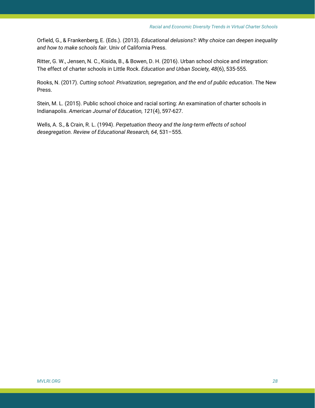Orfield, G., & Frankenberg, E. (Eds.). (2013). *Educational delusions?: Why choice can deepen inequality and how to make schools fair*. Univ of California Press.

Ritter, G. W., Jensen, N. C., Kisida, B., & Bowen, D. H. (2016). Urban school choice and integration: The effect of charter schools in Little Rock. *Education and Urban Society, 48*(6), 535-555.

Rooks, N. (2017). *Cutting school: Privatization, segregation, and the end of public education*. The New Press.

Stein, M. L. (2015). Public school choice and racial sorting: An examination of charter schools in Indianapolis. *American Journal of Education, 121*(4), 597-627.

Wells, A. S., & Crain, R. L. (1994). *Perpetuation theory and the long-term effects of school desegregation. Review of Educational Research, 64*, 531–555.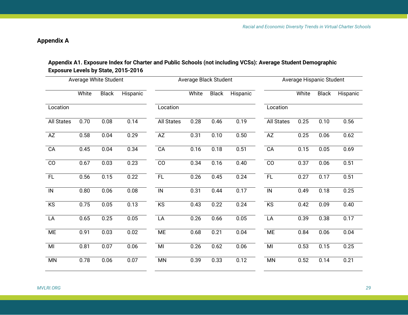# **Appendix A**

# **Appendix A1. Exposure Index for Charter and Public Schools (not including VCSs): Average Student Demographic Exposure Levels by State, 2015-2016**

|                   | Average White Student |              |          |                   | Average Black Student |              |          | Average Hispanic Student |       |              |          |  |  |
|-------------------|-----------------------|--------------|----------|-------------------|-----------------------|--------------|----------|--------------------------|-------|--------------|----------|--|--|
|                   | White                 | <b>Black</b> | Hispanic |                   | White                 | <b>Black</b> | Hispanic |                          | White | <b>Black</b> | Hispanic |  |  |
| Location          |                       |              |          | Location          |                       |              |          | Location                 |       |              |          |  |  |
| <b>All States</b> | 0.70                  | 0.08         | 0.14     | <b>All States</b> | 0.28                  | 0.46         | 0.19     | <b>All States</b>        | 0.25  | 0.10         | 0.56     |  |  |
| AZ                | 0.58                  | 0.04         | 0.29     | AZ                | 0.31                  | 0.10         | 0.50     | AZ                       | 0.25  | 0.06         | 0.62     |  |  |
| CA                | 0.45                  | 0.04         | 0.34     | CA                | 0.16                  | 0.18         | 0.51     | CA                       | 0.15  | 0.05         | 0.69     |  |  |
| $\overline{C}$    | 0.67                  | 0.03         | 0.23     | $\overline{C}$    | 0.34                  | 0.16         | 0.40     | $\overline{C}$           | 0.37  | 0.06         | 0.51     |  |  |
| FL                | 0.56                  | 0.15         | 0.22     | FL                | 0.26                  | 0.45         | 0.24     | FL                       | 0.27  | 0.17         | 0.51     |  |  |
| $\overline{N}$    | 0.80                  | 0.06         | 0.08     | IN                | 0.31                  | 0.44         | 0.17     | IN                       | 0.49  | 0.18         | 0.25     |  |  |
| KS                | 0.75                  | 0.05         | 0.13     | KS                | 0.43                  | 0.22         | 0.24     | KS                       | 0.42  | 0.09         | 0.40     |  |  |
| LA                | 0.65                  | 0.25         | 0.05     | LA                | 0.26                  | 0.66         | 0.05     | LA                       | 0.39  | 0.38         | 0.17     |  |  |
| ME                | 0.91                  | 0.03         | 0.02     | <b>ME</b>         | 0.68                  | 0.21         | 0.04     | ME                       | 0.84  | 0.06         | 0.04     |  |  |
| MI                | 0.81                  | 0.07         | 0.06     | MI                | 0.26                  | 0.62         | 0.06     | MI                       | 0.53  | 0.15         | 0.25     |  |  |
| <b>MN</b>         | 0.78                  | 0.06         | 0.07     | <b>MN</b>         | 0.39                  | 0.33         | 0.12     | MN                       | 0.52  | 0.14         | 0.21     |  |  |
|                   |                       |              |          |                   |                       |              |          |                          |       |              |          |  |  |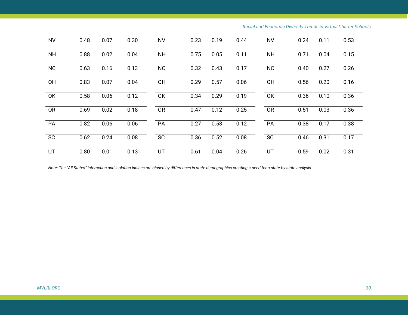| <b>NV</b> | 0.48 | 0.07 | 0.30 | <b>NV</b> | 0.23 | 0.19 | 0.44 | <b>NV</b> | 0.24 | 0.11 | 0.53 |
|-----------|------|------|------|-----------|------|------|------|-----------|------|------|------|
| <b>NH</b> | 0.88 | 0.02 | 0.04 | <b>NH</b> | 0.75 | 0.05 | 0.11 | <b>NH</b> | 0.71 | 0.04 | 0.15 |
| <b>NC</b> | 0.63 | 0.16 | 0.13 | <b>NC</b> | 0.32 | 0.43 | 0.17 | <b>NC</b> | 0.40 | 0.27 | 0.26 |
| OH        | 0.83 | 0.07 | 0.04 | OH        | 0.29 | 0.57 | 0.06 | <b>OH</b> | 0.56 | 0.20 | 0.16 |
| OK        | 0.58 | 0.06 | 0.12 | OK        | 0.34 | 0.29 | 0.19 | OK        | 0.36 | 0.10 | 0.36 |
| <b>OR</b> | 0.69 | 0.02 | 0.18 | <b>OR</b> | 0.47 | 0.12 | 0.25 | <b>OR</b> | 0.51 | 0.03 | 0.36 |
| PA        | 0.82 | 0.06 | 0.06 | PA        | 0.27 | 0.53 | 0.12 | PA        | 0.38 | 0.17 | 0.38 |
| <b>SC</b> | 0.62 | 0.24 | 0.08 | <b>SC</b> | 0.36 | 0.52 | 0.08 | <b>SC</b> | 0.46 | 0.31 | 0.17 |
| UT        | 0.80 | 0.01 | 0.13 | UT        | 0.61 | 0.04 | 0.26 | UT        | 0.59 | 0.02 | 0.31 |

*Note: The "All States" interaction and isolation indices are biased by differences in state demographics creating a need for a state-by-state analysis.*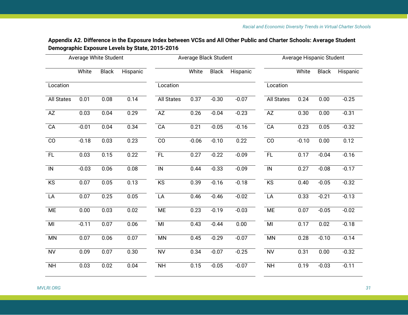| Appendix A2. Difference in the Exposure Index between VCSs and All Other Public and Charter Schools: Average Student |  |
|----------------------------------------------------------------------------------------------------------------------|--|
| Demographic Exposure Levels by State, 2015-2016                                                                      |  |

|                   | <b>Average White Student</b> |                   |                   |                   | Average Black Student |              |          | Average Hispanic Student |         |                   |          |  |
|-------------------|------------------------------|-------------------|-------------------|-------------------|-----------------------|--------------|----------|--------------------------|---------|-------------------|----------|--|
|                   | White                        | <b>Black</b>      | Hispanic          |                   | White                 | <b>Black</b> | Hispanic |                          | White   | <b>Black</b>      | Hispanic |  |
| Location          |                              |                   |                   | Location          |                       |              |          | Location                 |         |                   |          |  |
| <b>All States</b> | 0.01                         | $\overline{0.08}$ | 0.14              | <b>All States</b> | 0.37                  | $-0.30$      | $-0.07$  | <b>All States</b>        | 0.24    | 0.00              | $-0.25$  |  |
| AZ                | 0.03                         | 0.04              | 0.29              | AZ                | 0.26                  | $-0.04$      | $-0.23$  | AZ                       | 0.30    | 0.00              | $-0.31$  |  |
| CA                | $-0.01$                      | 0.04              | 0.34              | CA                | 0.21                  | $-0.05$      | $-0.16$  | CA                       | 0.23    | 0.05              | $-0.32$  |  |
| $\overline{c}$    | $-0.18$                      | 0.03              | 0.23              | $\overline{c}$    | $-0.06$               | $-0.10$      | 0.22     | $\overline{c}$           | $-0.10$ | 0.00              | 0.12     |  |
| FL                | 0.03                         | 0.15              | 0.22              | FL                | 0.27                  | $-0.22$      | $-0.09$  | FL                       | 0.17    | $-0.04$           | $-0.16$  |  |
| $\overline{N}$    | $-0.03$                      | 0.06              | $\overline{0.08}$ | $\overline{N}$    | 0.44                  | $-0.33$      | $-0.09$  | $\overline{N}$           | 0.27    | $-0.08$           | $-0.17$  |  |
| KS                | $\overline{0.07}$            | 0.05              | 0.13              | KS                | 0.39                  | $-0.16$      | $-0.18$  | KS                       | 0.40    | $-0.05$           | $-0.32$  |  |
| LA                | $\overline{0.07}$            | 0.25              | 0.05              | LA                | 0.46                  | $-0.46$      | $-0.02$  | LA                       | 0.33    | $-0.21$           | $-0.13$  |  |
| <b>ME</b>         | $\overline{0.00}$            | 0.03              | $\overline{0.02}$ | <b>ME</b>         | 0.23                  | $-0.19$      | $-0.03$  | <b>ME</b>                | 0.07    | $-0.05$           | $-0.02$  |  |
| MI                | $-0.11$                      | 0.07              | 0.06              | MI                | 0.43                  | $-0.44$      | 0.00     | MI                       | 0.17    | 0.02              | $-0.18$  |  |
| <b>MN</b>         | 0.07                         | 0.06              | 0.07              | <b>MN</b>         | 0.45                  | $-0.29$      | $-0.07$  | <b>MN</b>                | 0.28    | $-0.10$           | $-0.14$  |  |
| <b>NV</b>         | 0.09                         | 0.07              | 0.30              | <b>NV</b>         | 0.34                  | $-0.07$      | $-0.25$  | <b>NV</b>                | 0.31    | $\overline{0.00}$ | $-0.32$  |  |
| <b>NH</b>         | 0.03                         | 0.02              | 0.04              | N <sub>H</sub>    | 0.15                  | $-0.05$      | $-0.07$  | <b>NH</b>                | 0.19    | $-0.03$           | $-0.11$  |  |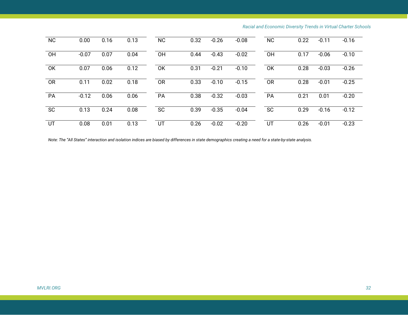| <b>NC</b> | 0.00    | 0.16 | 0.13 | <b>NC</b> | 0.32 | $-0.26$ | $-0.08$ | <b>NC</b> | 0.22 | $-0.11$ | $-0.16$ |
|-----------|---------|------|------|-----------|------|---------|---------|-----------|------|---------|---------|
| OH        | $-0.07$ | 0.07 | 0.04 | OH        | 0.44 | $-0.43$ | $-0.02$ | OH        | 0.17 | $-0.06$ | $-0.10$ |
| <b>OK</b> | 0.07    | 0.06 | 0.12 | OK        | 0.31 | $-0.21$ | $-0.10$ | <b>OK</b> | 0.28 | $-0.03$ | $-0.26$ |
| <b>OR</b> | 0.11    | 0.02 | 0.18 | <b>OR</b> | 0.33 | $-0.10$ | $-0.15$ | <b>OR</b> | 0.28 | $-0.01$ | $-0.25$ |
| PA        | $-0.12$ | 0.06 | 0.06 | PA        | 0.38 | $-0.32$ | $-0.03$ | PA        | 0.21 | 0.01    | $-0.20$ |
| <b>SC</b> | 0.13    | 0.24 | 0.08 | <b>SC</b> | 0.39 | $-0.35$ | $-0.04$ | <b>SC</b> | 0.29 | $-0.16$ | $-0.12$ |
| UT        | 0.08    | 0.01 | 0.13 | UT        | 0.26 | $-0.02$ | $-0.20$ | UT        | 0.26 | $-0.01$ | $-0.23$ |

*Note: The "All States" interaction and isolation indices are biased by differences in state demographics creating a need for a state-by-state analysis.*